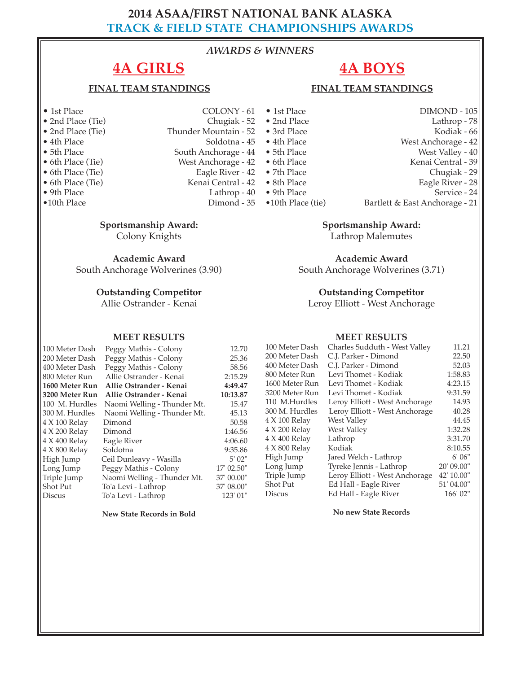# **2014 ASAA/FIRST NATIONAL BANK ALASKA TRACK & FIELD STATE CHAMPIONSHIPS AWARDS**

## *AWARDS & WINNERS*

# **4A GIRLS**

## **FINAL TEAM STANDINGS**

- 
- 2nd Place (Tie)<br>• 2nd Place (Tie)
- 
- 
- 
- 
- 
- 
- 
- 
- 1st Place COLONY 61<br>• 2nd Place (Tie) Chugiak 52 Thunder Mountain - 52 • 4th Place Soldotna - 45 • 4th Place Soldotna - 45 • 4th Place Soldotna - 45 • 4th Place Soldotna - 45 • 5th Place South Anchorage - 44 • 5th Place
	-
- 6th Place (Tie) West Anchorage 42<br>• 6th Place (Tie) Eagle River 42
- 6th Place (Tie) Eagle River 42
	-
	-
	-
	- **Sportsmanship Award:**

Colony Knights

**Academic Award**

South Anchorage Wolverines (3.90)

#### **Outstanding Competitor**

Allie Ostrander - Kenai

#### **MEET RESULTS**

# 100 Meter Dash Peggy Mathis - Colony 12.70<br>200 Meter Dash Peggy Mathis - Colony 25.36 200 Meter Dash Peggy Mathis - Colony 25.36<br>400 Meter Dash Peggy Mathis - Colony 58.56

400 Meter Dash Peggy Mathis - Colony 800 Meter Run Allie Ostrander - Kenai 2:15.29 **1600 Meter Run Allie Ostrander - Kenai 4:49.47 3200 Meter Run Allie Ostrander - Kenai 10:13.87** 100 M. Hurdles Naomi Welling - Thunder Mt. 15.47 300 M. Hurdles Naomi Welling - Thunder Mt. 45.13 4 X 100 Relay Dimond 50.58<br>4 X 200 Relay Dimond 1:46.56 4 X 200 Relay Dimond<br>4 X 400 Relay Eagle River 4 X 400 Relay Eagle River 4:06.60<br>4 X 800 Relay Soldotna 9:35.86 4 X 800 Relay Soldotna 9:35.86<br>
High Jump Ceil Dunleavy - Wasilla 5' 02" Ceil Dunleavy - Wasilla Long Jump Peggy Mathis - Colony 17' 02.50"<br>Triple Jump Naomi Welling - Thunder Mt. 37' 00.00" Triple Jump Naomi Welling - Thunder Mt. 37' 00.00"<br>Shot Put To'a Levi - Lathrop 37' 08.00" Shot Put To'a Levi - Lathrop 37' 08.00"<br>Discus To'a Levi - Lathrop 123' 01" To'a Levi - Lathrop

**New State Records in Bold**

- **FINAL TEAM STANDINGS**
- -
	-
- 
- 
- 
- 6th Place (Tie) Kenai Central 42<br>• 9th Place Lathrop 40
- 9th Place Lathrop 40<br>• 10th Place Dimond 35
	- Dimond 35
- 6th Place Kenai Central 39 • 7th Place Chugiak - 29<br>• 8th Place Chugiak - 29
- 
- -
- **Sportsmanship Award:**

**4A BOYS**

Lathrop Malemutes

**Academic Award**

South Anchorage Wolverines (3.71)

### **Outstanding Competitor**

Leroy Elliott - West Anchorage

#### **MEET RESULTS**

| 100 Meter Dash | Charles Sudduth - West Valley  | 11.21      |
|----------------|--------------------------------|------------|
| 200 Meter Dash | C.J. Parker - Dimond           | 22.50      |
| 400 Meter Dash | C.J. Parker - Dimond           | 52.03      |
| 800 Meter Run  | Levi Thomet - Kodiak           | 1:58.83    |
| 1600 Meter Run | Levi Thomet - Kodiak           | 4:23.15    |
| 3200 Meter Run | Levi Thomet - Kodiak           | 9:31.59    |
| 110 M.Hurdles  | Leroy Elliott - West Anchorage | 14.93      |
| 300 M. Hurdles | Leroy Elliott - West Anchorage | 40.28      |
| 4 X 100 Relay  | West Valley                    | 44.45      |
| 4 X 200 Relay  | West Valley                    | 1:32.28    |
| 4 X 400 Relay  | Lathrop                        | 3:31.70    |
| 4 X 800 Relay  | Kodiak                         | 8:10.55    |
| High Jump      | Jared Welch - Lathrop          | 6'06''     |
| Long Jump      | Tyreke Jennis - Lathrop        | 20' 09.00" |
| Triple Jump    | Leroy Elliott - West Anchorage | 42' 10.00" |
| Shot Put       | Ed Hall - Eagle River          | 51' 04.00" |
| <b>Discus</b>  | Ed Hall - Eagle River          | 166' 02"   |

**No new State Records**

- 1st Place DIMOND 105<br>• 2nd Place Lathrop 78 • 2nd Place Lathrop - 78
	- Kodiak 66
	- West Anchorage 42
		- West Valley 40
			- -
- 8th Place Eagle River 28<br>• 9th Place Service 24
	- Service 24
- •10th Place (tie) Bartlett & East Anchorage 21